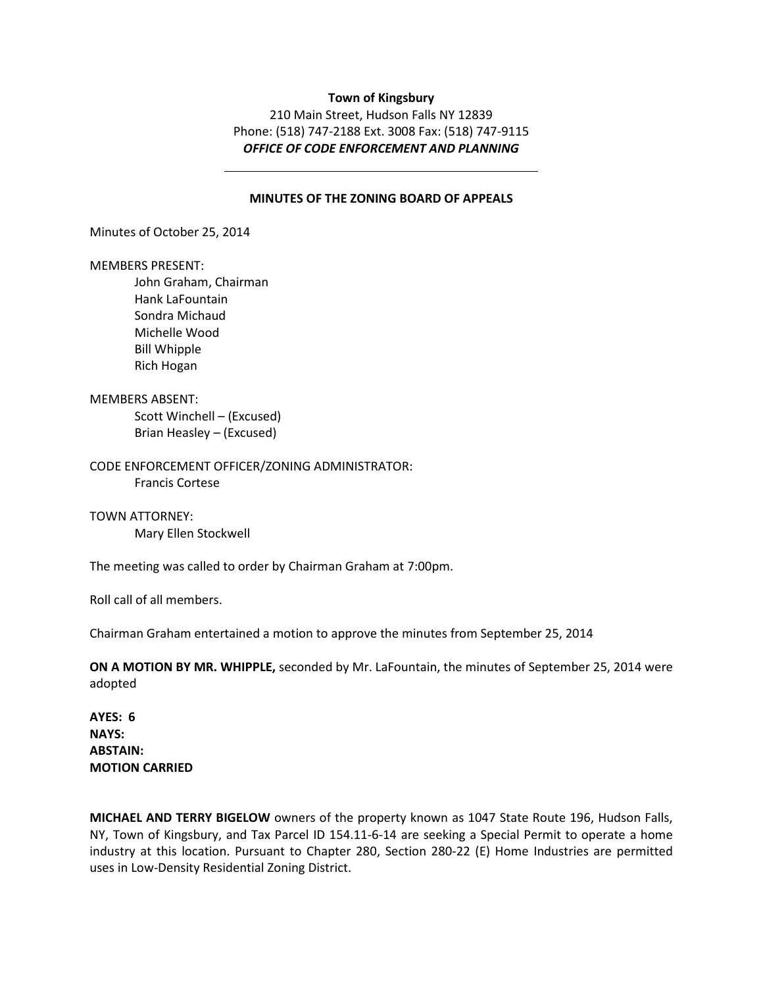### **Town of Kingsbury**

210 Main Street, Hudson Falls NY 12839 Phone: (518) 747-2188 Ext. 3008 Fax: (518) 747-9115 *OFFICE OF CODE ENFORCEMENT AND PLANNING* 

# **MINUTES OF THE ZONING BOARD OF APPEALS**

Minutes of October 25, 2014

#### MEMBERS PRESENT:

John Graham, Chairman Hank LaFountain Sondra Michaud Michelle Wood Bill Whipple Rich Hogan

### MEMBERS ABSENT:

 Scott Winchell – (Excused) Brian Heasley – (Excused)

CODE ENFORCEMENT OFFICER/ZONING ADMINISTRATOR: Francis Cortese

TOWN ATTORNEY: Mary Ellen Stockwell

The meeting was called to order by Chairman Graham at 7:00pm.

Roll call of all members.

Chairman Graham entertained a motion to approve the minutes from September 25, 2014

**ON A MOTION BY MR. WHIPPLE,** seconded by Mr. LaFountain, the minutes of September 25, 2014 were adopted

**AYES: 6 NAYS: ABSTAIN: MOTION CARRIED** 

**MICHAEL AND TERRY BIGELOW** owners of the property known as 1047 State Route 196, Hudson Falls, NY, Town of Kingsbury, and Tax Parcel ID 154.11-6-14 are seeking a Special Permit to operate a home industry at this location. Pursuant to Chapter 280, Section 280-22 (E) Home Industries are permitted uses in Low-Density Residential Zoning District.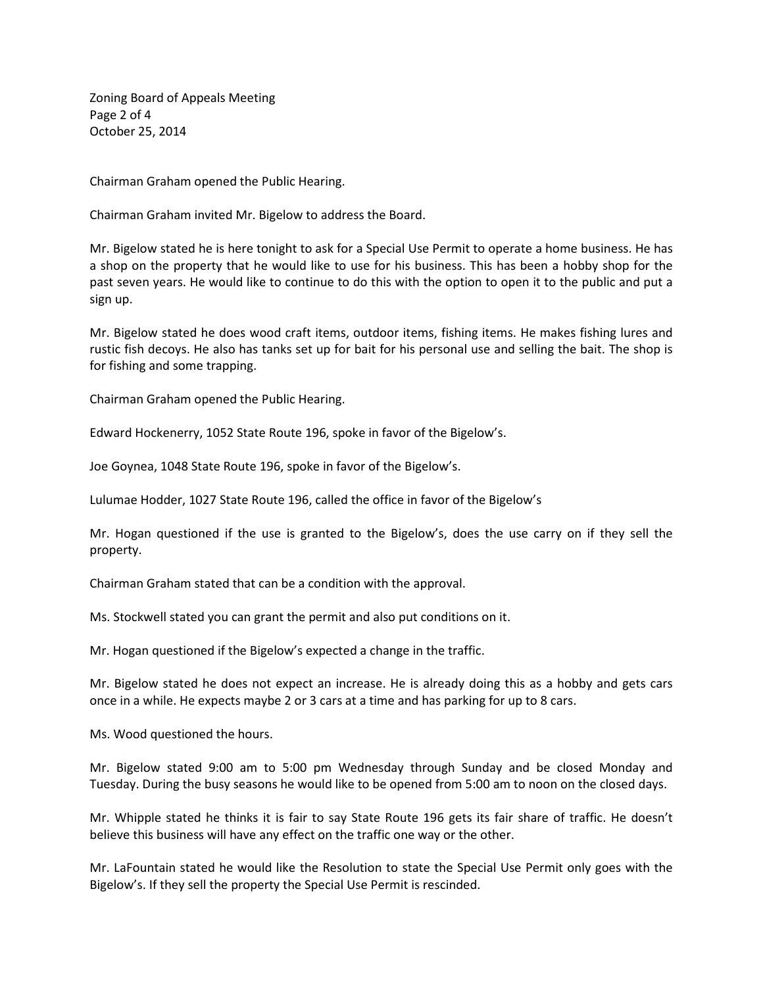Zoning Board of Appeals Meeting Page 2 of 4 October 25, 2014

Chairman Graham opened the Public Hearing.

Chairman Graham invited Mr. Bigelow to address the Board.

Mr. Bigelow stated he is here tonight to ask for a Special Use Permit to operate a home business. He has a shop on the property that he would like to use for his business. This has been a hobby shop for the past seven years. He would like to continue to do this with the option to open it to the public and put a sign up.

Mr. Bigelow stated he does wood craft items, outdoor items, fishing items. He makes fishing lures and rustic fish decoys. He also has tanks set up for bait for his personal use and selling the bait. The shop is for fishing and some trapping.

Chairman Graham opened the Public Hearing.

Edward Hockenerry, 1052 State Route 196, spoke in favor of the Bigelow's.

Joe Goynea, 1048 State Route 196, spoke in favor of the Bigelow's.

Lulumae Hodder, 1027 State Route 196, called the office in favor of the Bigelow's

Mr. Hogan questioned if the use is granted to the Bigelow's, does the use carry on if they sell the property.

Chairman Graham stated that can be a condition with the approval.

Ms. Stockwell stated you can grant the permit and also put conditions on it.

Mr. Hogan questioned if the Bigelow's expected a change in the traffic.

Mr. Bigelow stated he does not expect an increase. He is already doing this as a hobby and gets cars once in a while. He expects maybe 2 or 3 cars at a time and has parking for up to 8 cars.

Ms. Wood questioned the hours.

Mr. Bigelow stated 9:00 am to 5:00 pm Wednesday through Sunday and be closed Monday and Tuesday. During the busy seasons he would like to be opened from 5:00 am to noon on the closed days.

Mr. Whipple stated he thinks it is fair to say State Route 196 gets its fair share of traffic. He doesn't believe this business will have any effect on the traffic one way or the other.

Mr. LaFountain stated he would like the Resolution to state the Special Use Permit only goes with the Bigelow's. If they sell the property the Special Use Permit is rescinded.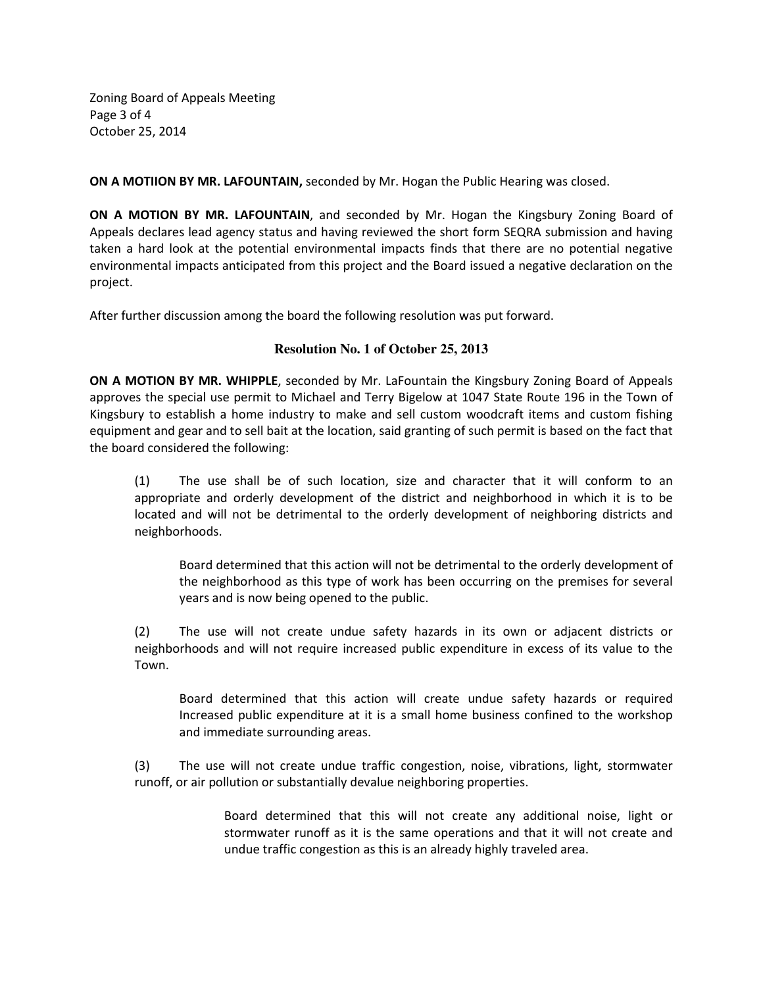Zoning Board of Appeals Meeting Page 3 of 4 October 25, 2014

**ON A MOTIION BY MR. LAFOUNTAIN,** seconded by Mr. Hogan the Public Hearing was closed.

**ON A MOTION BY MR. LAFOUNTAIN**, and seconded by Mr. Hogan the Kingsbury Zoning Board of Appeals declares lead agency status and having reviewed the short form SEQRA submission and having taken a hard look at the potential environmental impacts finds that there are no potential negative environmental impacts anticipated from this project and the Board issued a negative declaration on the project.

After further discussion among the board the following resolution was put forward.

# **Resolution No. 1 of October 25, 2013**

**ON A MOTION BY MR. WHIPPLE**, seconded by Mr. LaFountain the Kingsbury Zoning Board of Appeals approves the special use permit to Michael and Terry Bigelow at 1047 State Route 196 in the Town of Kingsbury to establish a home industry to make and sell custom woodcraft items and custom fishing equipment and gear and to sell bait at the location, said granting of such permit is based on the fact that the board considered the following:

(1) The use shall be of such location, size and character that it will conform to an appropriate and orderly development of the district and neighborhood in which it is to be located and will not be detrimental to the orderly development of neighboring districts and neighborhoods.

Board determined that this action will not be detrimental to the orderly development of the neighborhood as this type of work has been occurring on the premises for several years and is now being opened to the public.

(2) The use will not create undue safety hazards in its own or adjacent districts or neighborhoods and will not require increased public expenditure in excess of its value to the Town.

Board determined that this action will create undue safety hazards or required Increased public expenditure at it is a small home business confined to the workshop and immediate surrounding areas.

(3) The use will not create undue traffic congestion, noise, vibrations, light, stormwater runoff, or air pollution or substantially devalue neighboring properties.

> Board determined that this will not create any additional noise, light or stormwater runoff as it is the same operations and that it will not create and undue traffic congestion as this is an already highly traveled area.